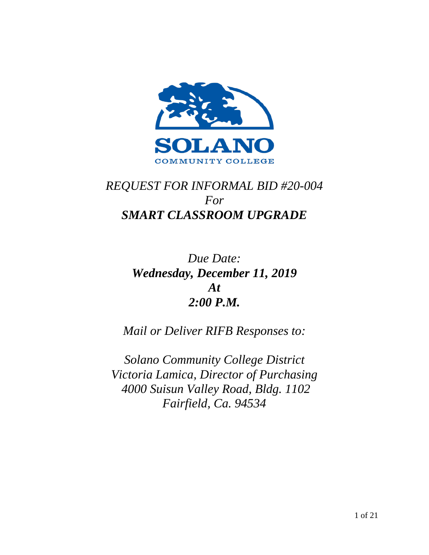

# *REQUEST FOR INFORMAL BID #20-004 For SMART CLASSROOM UPGRADE*

# *Due Date: Wednesday, December 11, 2019 At 2:00 P.M.*

*Mail or Deliver RIFB Responses to:*

*Solano Community College District Victoria Lamica, Director of Purchasing 4000 Suisun Valley Road, Bldg. 1102 Fairfield, Ca. 94534*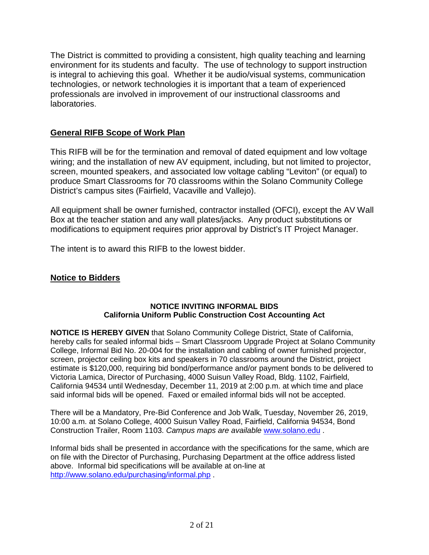The District is committed to providing a consistent, high quality teaching and learning environment for its students and faculty. The use of technology to support instruction is integral to achieving this goal. Whether it be audio/visual systems, communication technologies, or network technologies it is important that a team of experienced professionals are involved in improvement of our instructional classrooms and laboratories.

### **General RIFB Scope of Work Plan**

This RIFB will be for the termination and removal of dated equipment and low voltage wiring; and the installation of new AV equipment, including, but not limited to projector, screen, mounted speakers, and associated low voltage cabling "Leviton" (or equal) to produce Smart Classrooms for 70 classrooms within the Solano Community College District's campus sites (Fairfield, Vacaville and Vallejo).

All equipment shall be owner furnished, contractor installed (OFCI), except the AV Wall Box at the teacher station and any wall plates/jacks. Any product substitutions or modifications to equipment requires prior approval by District's IT Project Manager.

The intent is to award this RIFB to the lowest bidder.

## **Notice to Bidders**

#### **NOTICE INVITING INFORMAL BIDS California Uniform Public Construction Cost Accounting Act**

**NOTICE IS HEREBY GIVEN** that Solano Community College District, State of California, hereby calls for sealed informal bids – Smart Classroom Upgrade Project at Solano Community College, Informal Bid No. 20-004 for the installation and cabling of owner furnished projector, screen, projector ceiling box kits and speakers in 70 classrooms around the District, project estimate is \$120,000, requiring bid bond/performance and/or payment bonds to be delivered to Victoria Lamica, Director of Purchasing, 4000 Suisun Valley Road, Bldg. 1102, Fairfield, California 94534 until Wednesday, December 11, 2019 at 2:00 p.m. at which time and place said informal bids will be opened. Faxed or emailed informal bids will not be accepted.

There will be a Mandatory, Pre-Bid Conference and Job Walk, Tuesday, November 26, 2019, 10:00 a.m. at Solano College, 4000 Suisun Valley Road, Fairfield, California 94534, Bond Construction Trailer, Room 1103. *Campus maps are available* [www.solano.edu](http://www.solano.edu/) .

Informal bids shall be presented in accordance with the specifications for the same, which are on file with the Director of Purchasing, Purchasing Department at the office address listed above. Informal bid specifications will be available at on-line at <http://www.solano.edu/purchasing/informal.php> .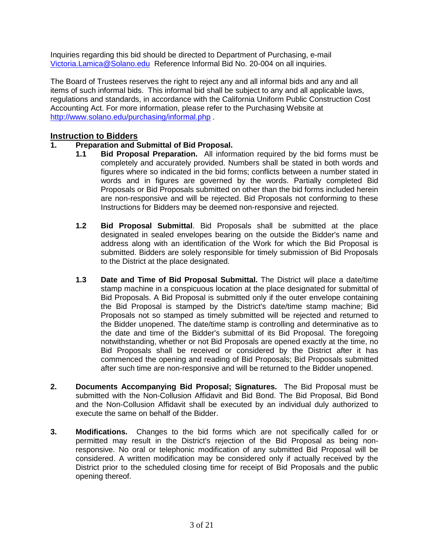Inquiries regarding this bid should be directed to Department of Purchasing, e-mail [Victoria.Lamica@Solano.edu](mailto:Victoria.Lamica@Solano.edu) Reference Informal Bid No. 20-004 on all inquiries.

The Board of Trustees reserves the right to reject any and all informal bids and any and all items of such informal bids. This informal bid shall be subject to any and all applicable laws, regulations and standards, in accordance with the California Uniform Public Construction Cost Accounting Act. For more information, please refer to the Purchasing Website at <http://www.solano.edu/purchasing/informal.php> .

# **Instruction to Bidders**

- **1. Preparation and Submittal of Bid Proposal.**
	- **1.1 Bid Proposal Preparation.** All information required by the bid forms must be completely and accurately provided. Numbers shall be stated in both words and figures where so indicated in the bid forms; conflicts between a number stated in words and in figures are governed by the words. Partially completed Bid Proposals or Bid Proposals submitted on other than the bid forms included herein are non-responsive and will be rejected. Bid Proposals not conforming to these Instructions for Bidders may be deemed non-responsive and rejected.
	- **1.2 Bid Proposal Submittal**. Bid Proposals shall be submitted at the place designated in sealed envelopes bearing on the outside the Bidder's name and address along with an identification of the Work for which the Bid Proposal is submitted. Bidders are solely responsible for timely submission of Bid Proposals to the District at the place designated.
	- **1.3 Date and Time of Bid Proposal Submittal.** The District will place a date/time stamp machine in a conspicuous location at the place designated for submittal of Bid Proposals. A Bid Proposal is submitted only if the outer envelope containing the Bid Proposal is stamped by the District's date/time stamp machine; Bid Proposals not so stamped as timely submitted will be rejected and returned to the Bidder unopened. The date/time stamp is controlling and determinative as to the date and time of the Bidder's submittal of its Bid Proposal. The foregoing notwithstanding, whether or not Bid Proposals are opened exactly at the time, no Bid Proposals shall be received or considered by the District after it has commenced the opening and reading of Bid Proposals; Bid Proposals submitted after such time are non-responsive and will be returned to the Bidder unopened.
- **2. Documents Accompanying Bid Proposal; Signatures.** The Bid Proposal must be submitted with the Non-Collusion Affidavit and Bid Bond. The Bid Proposal, Bid Bond and the Non-Collusion Affidavit shall be executed by an individual duly authorized to execute the same on behalf of the Bidder.
- **3. Modifications.** Changes to the bid forms which are not specifically called for or permitted may result in the District's rejection of the Bid Proposal as being nonresponsive. No oral or telephonic modification of any submitted Bid Proposal will be considered. A written modification may be considered only if actually received by the District prior to the scheduled closing time for receipt of Bid Proposals and the public opening thereof.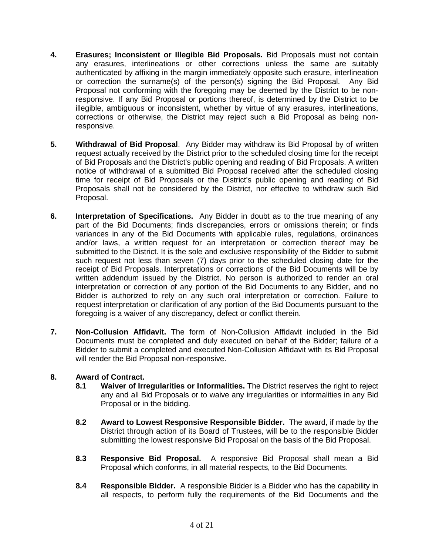- **4. Erasures; Inconsistent or Illegible Bid Proposals.** Bid Proposals must not contain any erasures, interlineations or other corrections unless the same are suitably authenticated by affixing in the margin immediately opposite such erasure, interlineation or correction the surname(s) of the person(s) signing the Bid Proposal. Any Bid Proposal not conforming with the foregoing may be deemed by the District to be nonresponsive. If any Bid Proposal or portions thereof, is determined by the District to be illegible, ambiguous or inconsistent, whether by virtue of any erasures, interlineations, corrections or otherwise, the District may reject such a Bid Proposal as being nonresponsive.
- **5. Withdrawal of Bid Proposal**. Any Bidder may withdraw its Bid Proposal by of written request actually received by the District prior to the scheduled closing time for the receipt of Bid Proposals and the District's public opening and reading of Bid Proposals. A written notice of withdrawal of a submitted Bid Proposal received after the scheduled closing time for receipt of Bid Proposals or the District's public opening and reading of Bid Proposals shall not be considered by the District, nor effective to withdraw such Bid Proposal.
- **6. Interpretation of Specifications.** Any Bidder in doubt as to the true meaning of any part of the Bid Documents; finds discrepancies, errors or omissions therein; or finds variances in any of the Bid Documents with applicable rules, regulations, ordinances and/or laws, a written request for an interpretation or correction thereof may be submitted to the District. It is the sole and exclusive responsibility of the Bidder to submit such request not less than seven (7) days prior to the scheduled closing date for the receipt of Bid Proposals. Interpretations or corrections of the Bid Documents will be by written addendum issued by the District. No person is authorized to render an oral interpretation or correction of any portion of the Bid Documents to any Bidder, and no Bidder is authorized to rely on any such oral interpretation or correction. Failure to request interpretation or clarification of any portion of the Bid Documents pursuant to the foregoing is a waiver of any discrepancy, defect or conflict therein.
- **7. Non-Collusion Affidavit.** The form of Non-Collusion Affidavit included in the Bid Documents must be completed and duly executed on behalf of the Bidder; failure of a Bidder to submit a completed and executed Non-Collusion Affidavit with its Bid Proposal will render the Bid Proposal non-responsive.

#### **8. Award of Contract.**

- **8.1 Waiver of Irregularities or Informalities.** The District reserves the right to reject any and all Bid Proposals or to waive any irregularities or informalities in any Bid Proposal or in the bidding.
- **8.2 Award to Lowest Responsive Responsible Bidder.** The award, if made by the District through action of its Board of Trustees, will be to the responsible Bidder submitting the lowest responsive Bid Proposal on the basis of the Bid Proposal.
- **8.3 Responsive Bid Proposal.** A responsive Bid Proposal shall mean a Bid Proposal which conforms, in all material respects, to the Bid Documents.
- **8.4 Responsible Bidder.** A responsible Bidder is a Bidder who has the capability in all respects, to perform fully the requirements of the Bid Documents and the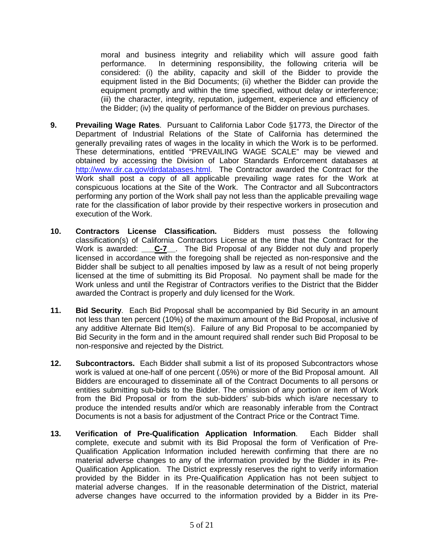moral and business integrity and reliability which will assure good faith performance. In determining responsibility, the following criteria will be considered: (i) the ability, capacity and skill of the Bidder to provide the equipment listed in the Bid Documents; (ii) whether the Bidder can provide the equipment promptly and within the time specified, without delay or interference; (iii) the character, integrity, reputation, judgement, experience and efficiency of the Bidder; (iv) the quality of performance of the Bidder on previous purchases.

- **9. Prevailing Wage Rates**. Pursuant to California Labor Code §1773, the Director of the Department of Industrial Relations of the State of California has determined the generally prevailing rates of wages in the locality in which the Work is to be performed. These determinations, entitled "PREVAILING WAGE SCALE" may be viewed and obtained by accessing the Division of Labor Standards Enforcement databases at [http://www.dir.ca.gov/dirdatabases.html.](http://www.dir.ca.gov/dirdatabases.html) The Contractor awarded the Contract for the Work shall post a copy of all applicable prevailing wage rates for the Work at conspicuous locations at the Site of the Work. The Contractor and all Subcontractors performing any portion of the Work shall pay not less than the applicable prevailing wage rate for the classification of labor provide by their respective workers in prosecution and execution of the Work.
- **10. Contractors License Classification.** Bidders must possess the following classification(s) of California Contractors License at the time that the Contract for the Work is awarded: **\_\_\_C-7\_\_**. The Bid Proposal of any Bidder not duly and properly licensed in accordance with the foregoing shall be rejected as non-responsive and the Bidder shall be subject to all penalties imposed by law as a result of not being properly licensed at the time of submitting its Bid Proposal. No payment shall be made for the Work unless and until the Registrar of Contractors verifies to the District that the Bidder awarded the Contract is properly and duly licensed for the Work.
- **11. Bid Security**. Each Bid Proposal shall be accompanied by Bid Security in an amount not less than ten percent (10%) of the maximum amount of the Bid Proposal, inclusive of any additive Alternate Bid Item(s). Failure of any Bid Proposal to be accompanied by Bid Security in the form and in the amount required shall render such Bid Proposal to be non-responsive and rejected by the District.
- **12. Subcontractors.** Each Bidder shall submit a list of its proposed Subcontractors whose work is valued at one-half of one percent (.05%) or more of the Bid Proposal amount. All Bidders are encouraged to disseminate all of the Contract Documents to all persons or entities submitting sub-bids to the Bidder. The omission of any portion or item of Work from the Bid Proposal or from the sub-bidders' sub-bids which is/are necessary to produce the intended results and/or which are reasonably inferable from the Contract Documents is not a basis for adjustment of the Contract Price or the Contract Time.
- **13. Verification of Pre-Qualification Application Information**. Each Bidder shall complete, execute and submit with its Bid Proposal the form of Verification of Pre-Qualification Application Information included herewith confirming that there are no material adverse changes to any of the information provided by the Bidder in its Pre-Qualification Application. The District expressly reserves the right to verify information provided by the Bidder in its Pre-Qualification Application has not been subject to material adverse changes. If in the reasonable determination of the District, material adverse changes have occurred to the information provided by a Bidder in its Pre-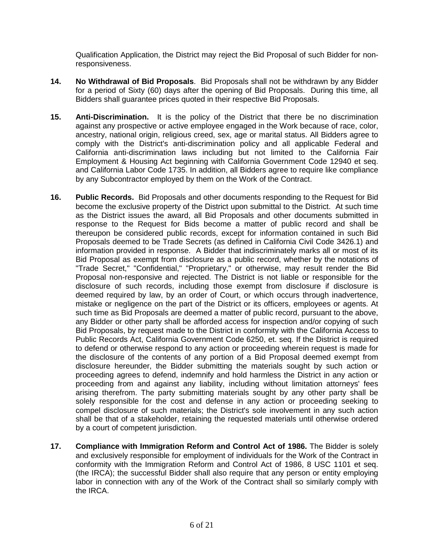Qualification Application, the District may reject the Bid Proposal of such Bidder for nonresponsiveness.

- **14. No Withdrawal of Bid Proposals**. Bid Proposals shall not be withdrawn by any Bidder for a period of Sixty (60) days after the opening of Bid Proposals. During this time, all Bidders shall guarantee prices quoted in their respective Bid Proposals.
- **15. Anti-Discrimination.** It is the policy of the District that there be no discrimination against any prospective or active employee engaged in the Work because of race, color, ancestry, national origin, religious creed, sex, age or marital status. All Bidders agree to comply with the District's anti-discrimination policy and all applicable Federal and California anti-discrimination laws including but not limited to the California Fair Employment & Housing Act beginning with California Government Code 12940 et seq. and California Labor Code 1735. In addition, all Bidders agree to require like compliance by any Subcontractor employed by them on the Work of the Contract.
- **16. Public Records.** Bid Proposals and other documents responding to the Request for Bid become the exclusive property of the District upon submittal to the District. At such time as the District issues the award, all Bid Proposals and other documents submitted in response to the Request for Bids become a matter of public record and shall be thereupon be considered public records, except for information contained in such Bid Proposals deemed to be Trade Secrets (as defined in California Civil Code 3426.1) and information provided in response. A Bidder that indiscriminately marks all or most of its Bid Proposal as exempt from disclosure as a public record, whether by the notations of "Trade Secret," "Confidential," "Proprietary," or otherwise, may result render the Bid Proposal non-responsive and rejected. The District is not liable or responsible for the disclosure of such records, including those exempt from disclosure if disclosure is deemed required by law, by an order of Court, or which occurs through inadvertence, mistake or negligence on the part of the District or its officers, employees or agents. At such time as Bid Proposals are deemed a matter of public record, pursuant to the above, any Bidder or other party shall be afforded access for inspection and/or copying of such Bid Proposals, by request made to the District in conformity with the California Access to Public Records Act, California Government Code 6250, et. seq. If the District is required to defend or otherwise respond to any action or proceeding wherein request is made for the disclosure of the contents of any portion of a Bid Proposal deemed exempt from disclosure hereunder, the Bidder submitting the materials sought by such action or proceeding agrees to defend, indemnify and hold harmless the District in any action or proceeding from and against any liability, including without limitation attorneys' fees arising therefrom. The party submitting materials sought by any other party shall be solely responsible for the cost and defense in any action or proceeding seeking to compel disclosure of such materials; the District's sole involvement in any such action shall be that of a stakeholder, retaining the requested materials until otherwise ordered by a court of competent jurisdiction.
- **17. Compliance with Immigration Reform and Control Act of 1986.** The Bidder is solely and exclusively responsible for employment of individuals for the Work of the Contract in conformity with the Immigration Reform and Control Act of 1986, 8 USC 1101 et seq. (the IRCA); the successful Bidder shall also require that any person or entity employing labor in connection with any of the Work of the Contract shall so similarly comply with the IRCA.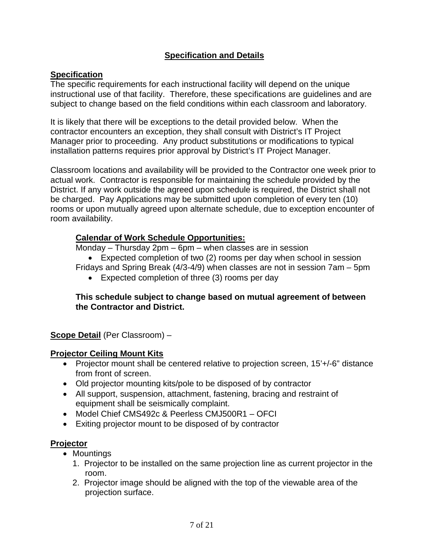### **Specification and Details**

#### **Specification**

The specific requirements for each instructional facility will depend on the unique instructional use of that facility. Therefore, these specifications are guidelines and are subject to change based on the field conditions within each classroom and laboratory.

It is likely that there will be exceptions to the detail provided below. When the contractor encounters an exception, they shall consult with District's IT Project Manager prior to proceeding. Any product substitutions or modifications to typical installation patterns requires prior approval by District's IT Project Manager.

Classroom locations and availability will be provided to the Contractor one week prior to actual work. Contractor is responsible for maintaining the schedule provided by the District. If any work outside the agreed upon schedule is required, the District shall not be charged. Pay Applications may be submitted upon completion of every ten (10) rooms or upon mutually agreed upon alternate schedule, due to exception encounter of room availability.

#### **Calendar of Work Schedule Opportunities:**

Monday – Thursday 2pm – 6pm – when classes are in session

- Expected completion of two (2) rooms per day when school in session
- Fridays and Spring Break (4/3-4/9) when classes are not in session 7am 5pm
	- Expected completion of three (3) rooms per day

#### **This schedule subject to change based on mutual agreement of between the Contractor and District.**

**Scope Detail** (Per Classroom) –

#### **Projector Ceiling Mount Kits**

- Projector mount shall be centered relative to projection screen, 15'+/-6" distance from front of screen.
- Old projector mounting kits/pole to be disposed of by contractor
- All support, suspension, attachment, fastening, bracing and restraint of equipment shall be seismically complaint.
- Model Chief CMS492c & Peerless CMJ500R1 OFCI
- Exiting projector mount to be disposed of by contractor

#### **Projector**

- Mountings
	- 1. Projector to be installed on the same projection line as current projector in the room.
	- 2. Projector image should be aligned with the top of the viewable area of the projection surface.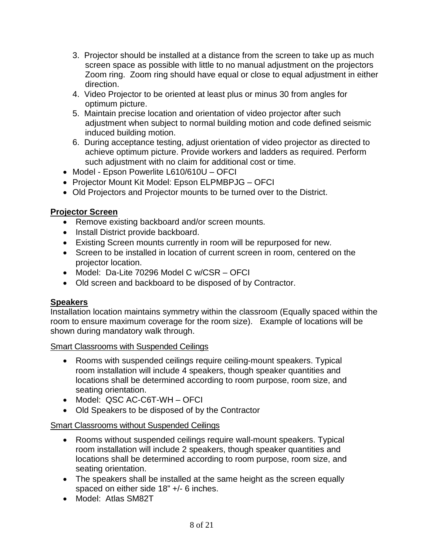- 3. Projector should be installed at a distance from the screen to take up as much screen space as possible with little to no manual adjustment on the projectors Zoom ring. Zoom ring should have equal or close to equal adjustment in either direction.
- 4. Video Projector to be oriented at least plus or minus 30 from angles for optimum picture.
- 5. Maintain precise location and orientation of video projector after such adjustment when subject to normal building motion and code defined seismic induced building motion.
- 6. During acceptance testing, adjust orientation of video projector as directed to achieve optimum picture. Provide workers and ladders as required. Perform such adjustment with no claim for additional cost or time.
- Model Epson Powerlite L610/610U OFCI
- Projector Mount Kit Model: Epson ELPMBPJG OFCI
- Old Projectors and Projector mounts to be turned over to the District.

# **Projector Screen**

- Remove existing backboard and/or screen mounts.
- Install District provide backboard.
- Existing Screen mounts currently in room will be repurposed for new.
- Screen to be installed in location of current screen in room, centered on the projector location.
- Model: Da-Lite 70296 Model C w/CSR OFCI
- Old screen and backboard to be disposed of by Contractor.

# **Speakers**

Installation location maintains symmetry within the classroom (Equally spaced within the room to ensure maximum coverage for the room size). Example of locations will be shown during mandatory walk through.

Smart Classrooms with Suspended Ceilings

- Rooms with suspended ceilings require ceiling-mount speakers. Typical room installation will include 4 speakers, though speaker quantities and locations shall be determined according to room purpose, room size, and seating orientation.
- Model: QSC AC-C6T-WH OFCI
- Old Speakers to be disposed of by the Contractor

# Smart Classrooms without Suspended Ceilings

- Rooms without suspended ceilings require wall-mount speakers. Typical room installation will include 2 speakers, though speaker quantities and locations shall be determined according to room purpose, room size, and seating orientation.
- The speakers shall be installed at the same height as the screen equally spaced on either side 18" +/- 6 inches.
- Model: Atlas SM82T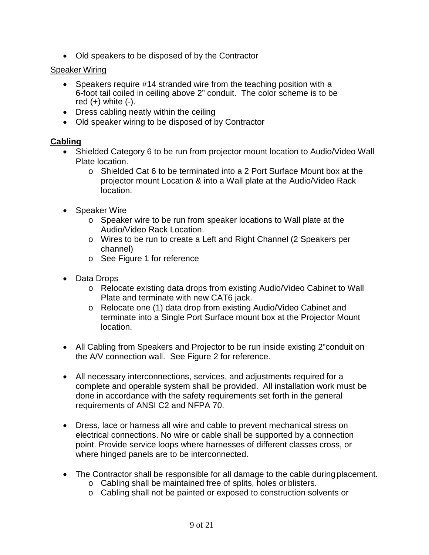• Old speakers to be disposed of by the Contractor

#### Speaker Wiring

- Speakers require #14 stranded wire from the teaching position with a 6-foot tail coiled in ceiling above 2" conduit. The color scheme is to be red  $(+)$  white  $(-)$ .
- Dress cabling neatly within the ceiling
- Old speaker wiring to be disposed of by Contractor

#### **Cabling**

- Shielded Category 6 to be run from projector mount location to Audio/Video Wall Plate location.
	- o Shielded Cat 6 to be terminated into a 2 Port Surface Mount box at the projector mount Location & into a Wall plate at the Audio/Video Rack location.
- Speaker Wire
	- o Speaker wire to be run from speaker locations to Wall plate at the Audio/Video Rack Location.
	- o Wires to be run to create a Left and Right Channel (2 Speakers per channel)
	- o See Figure 1 for reference
- Data Drops
	- o Relocate existing data drops from existing Audio/Video Cabinet to Wall Plate and terminate with new CAT6 jack.
	- o Relocate one (1) data drop from existing Audio/Video Cabinet and terminate into a Single Port Surface mount box at the Projector Mount location.
- All Cabling from Speakers and Projector to be run inside existing 2"conduit on the A/V connection wall. See Figure 2 for reference.
- All necessary interconnections, services, and adjustments required for a complete and operable system shall be provided. All installation work must be done in accordance with the safety requirements set forth in the general requirements of ANSI C2 and NFPA 70.
- Dress, lace or harness all wire and cable to prevent mechanical stress on electrical connections. No wire or cable shall be supported by a connection point. Provide service loops where harnesses of different classes cross, or where hinged panels are to be interconnected.
- The Contractor shall be responsible for all damage to the cable during placement.
	- o Cabling shall be maintained free of splits, holes or blisters.
	- o Cabling shall not be painted or exposed to construction solvents or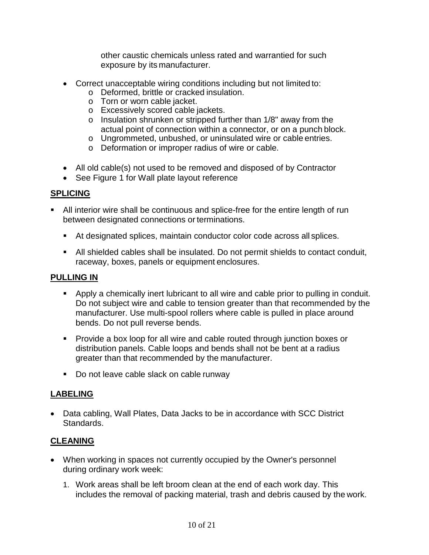other caustic chemicals unless rated and warrantied for such exposure by its manufacturer.

- Correct unacceptable wiring conditions including but not limited to:
	- o Deformed, brittle or cracked insulation.
	- o Torn or worn cable jacket.
	- o Excessively scored cable jackets.
	- o Insulation shrunken or stripped further than 1/8" away from the actual point of connection within a connector, or on a punch block.
	- o Ungrommeted, unbushed, or uninsulated wire or cable entries.
	- o Deformation or improper radius of wire or cable.
- All old cable(s) not used to be removed and disposed of by Contractor
- See Figure 1 for Wall plate layout reference

#### **SPLICING**

- All interior wire shall be continuous and splice-free for the entire length of run between designated connections or terminations.
	- At designated splices, maintain conductor color code across all splices.
	- All shielded cables shall be insulated. Do not permit shields to contact conduit, raceway, boxes, panels or equipment enclosures.

#### **PULLING IN**

- Apply a chemically inert lubricant to all wire and cable prior to pulling in conduit. Do not subject wire and cable to tension greater than that recommended by the manufacturer. Use multi-spool rollers where cable is pulled in place around bends. Do not pull reverse bends.
- **Provide a box loop for all wire and cable routed through junction boxes or** distribution panels. Cable loops and bends shall not be bent at a radius greater than that recommended by the manufacturer.
- Do not leave cable slack on cable runway

#### **LABELING**

• Data cabling, Wall Plates, Data Jacks to be in accordance with SCC District Standards.

#### **CLEANING**

- When working in spaces not currently occupied by the Owner's personnel during ordinary work week:
	- 1. Work areas shall be left broom clean at the end of each work day. This includes the removal of packing material, trash and debris caused by the work.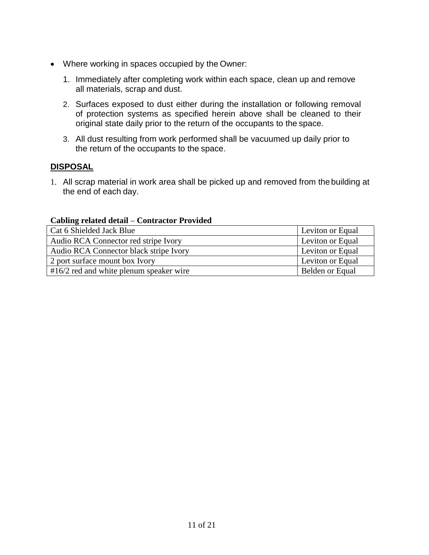- Where working in spaces occupied by the Owner:
	- 1. Immediately after completing work within each space, clean up and remove all materials, scrap and dust.
	- 2. Surfaces exposed to dust either during the installation or following removal of protection systems as specified herein above shall be cleaned to their original state daily prior to the return of the occupants to the space.
	- 3. All dust resulting from work performed shall be vacuumed up daily prior to the return of the occupants to the space.

### **DISPOSAL**

1. All scrap material in work area shall be picked up and removed from the building at the end of each day.

#### **Cabling related detail** – **Contractor Provided**

| Cat 6 Shielded Jack Blue                  | Leviton or Equal |
|-------------------------------------------|------------------|
| Audio RCA Connector red stripe Ivory      | Leviton or Equal |
| Audio RCA Connector black stripe Ivory    | Leviton or Equal |
| 2 port surface mount box Ivory            | Leviton or Equal |
| $#16/2$ red and white plenum speaker wire | Belden or Equal  |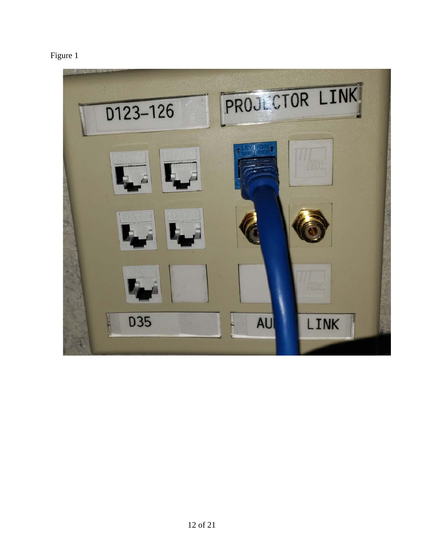

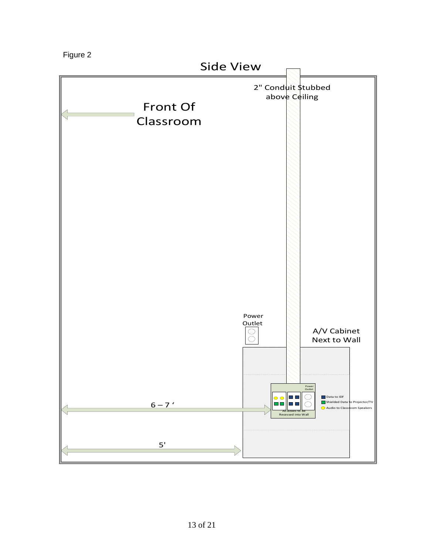Figure 2

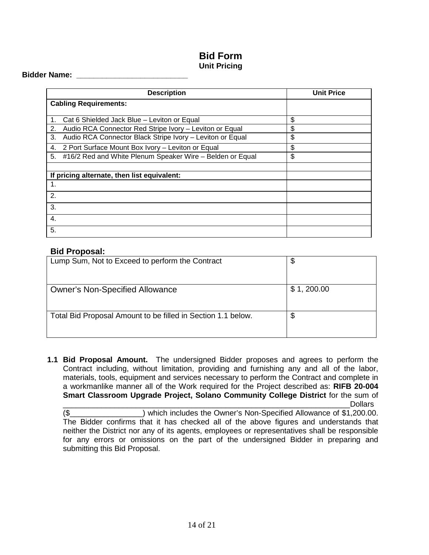#### **Bid Form Unit Pricing**

#### **Bidder Name: \_\_\_\_\_\_\_\_\_\_\_\_\_\_\_\_\_\_\_\_\_\_\_\_\_\_**

| <b>Description</b>                                              | <b>Unit Price</b> |  |
|-----------------------------------------------------------------|-------------------|--|
| <b>Cabling Requirements:</b>                                    |                   |  |
|                                                                 |                   |  |
| Cat 6 Shielded Jack Blue - Leviton or Equal<br>1.               | \$                |  |
| Audio RCA Connector Red Stripe Ivory - Leviton or Equal<br>2.   | \$                |  |
| Audio RCA Connector Black Stripe Ivory - Leviton or Equal<br>3. | \$                |  |
| 2 Port Surface Mount Box Ivory - Leviton or Equal<br>4.         | \$                |  |
| #16/2 Red and White Plenum Speaker Wire - Belden or Equal<br>5. | \$                |  |
|                                                                 |                   |  |
| If pricing alternate, then list equivalent:                     |                   |  |
| 1.                                                              |                   |  |
| 2.                                                              |                   |  |
| 3.                                                              |                   |  |
| 4.                                                              |                   |  |
| 5.                                                              |                   |  |

#### **Bid Proposal:**

| Lump Sum, Not to Exceed to perform the Contract              | จ          |
|--------------------------------------------------------------|------------|
| <b>Owner's Non-Specified Allowance</b>                       | \$1,200.00 |
| Total Bid Proposal Amount to be filled in Section 1.1 below. | \$         |

**1.1 Bid Proposal Amount.** The undersigned Bidder proposes and agrees to perform the Contract including, without limitation, providing and furnishing any and all of the labor, materials, tools, equipment and services necessary to perform the Contract and complete in a workmanlike manner all of the Work required for the Project described as: **RIFB 20-004 Smart Classroom Upgrade Project, Solano Community College District** for the sum of \_\_\_\_\_\_\_\_\_\_\_\_\_\_\_\_\_\_\_\_\_\_\_\_\_\_\_\_\_\_\_\_\_\_\_\_\_\_\_\_\_\_\_\_\_\_\_\_\_\_\_\_\_\_\_\_\_\_\_\_\_\_\_\_\_\_\_Dollars

(\$\_\_\_\_\_\_\_\_\_\_\_\_\_\_\_\_\_) which includes the Owner's Non-Specified Allowance of \$1,200.00. The Bidder confirms that it has checked all of the above figures and understands that neither the District nor any of its agents, employees or representatives shall be responsible for any errors or omissions on the part of the undersigned Bidder in preparing and submitting this Bid Proposal.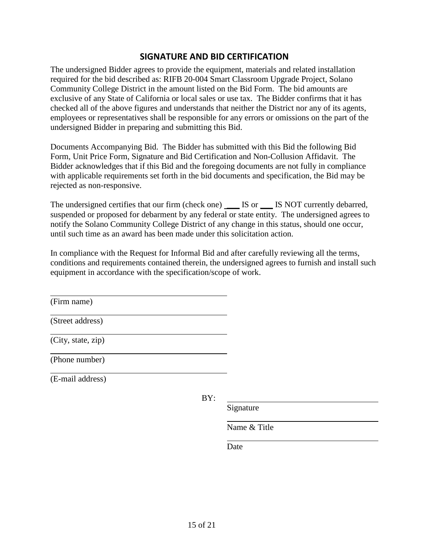#### **SIGNATURE AND BID CERTIFICATION**

The undersigned Bidder agrees to provide the equipment, materials and related installation required for the bid described as: RIFB 20-004 Smart Classroom Upgrade Project, Solano Community College District in the amount listed on the Bid Form. The bid amounts are exclusive of any State of California or local sales or use tax. The Bidder confirms that it has checked all of the above figures and understands that neither the District nor any of its agents, employees or representatives shall be responsible for any errors or omissions on the part of the undersigned Bidder in preparing and submitting this Bid.

Documents Accompanying Bid. The Bidder has submitted with this Bid the following Bid Form, Unit Price Form, Signature and Bid Certification and Non-Collusion Affidavit. The Bidder acknowledges that if this Bid and the foregoing documents are not fully in compliance with applicable requirements set forth in the bid documents and specification, the Bid may be rejected as non-responsive.

The undersigned certifies that our firm (check one) IS or IS NOT currently debarred, suspended or proposed for debarment by any federal or state entity. The undersigned agrees to notify the Solano Community College District of any change in this status, should one occur, until such time as an award has been made under this solicitation action.

In compliance with the Request for Informal Bid and after carefully reviewing all the terms, conditions and requirements contained therein, the undersigned agrees to furnish and install such equipment in accordance with the specification/scope of work.

(Firm name)

(Street address)

(City, state, zip)

(Phone number)

(E-mail address)

BY:

Signature

Name & Title

Date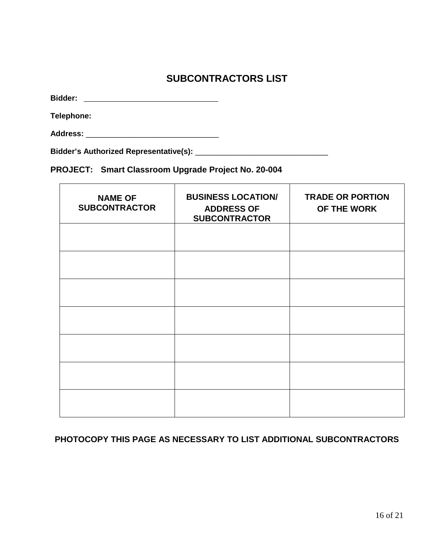# **SUBCONTRACTORS LIST**

**Bidder:** \_\_\_\_\_\_\_\_\_\_\_\_\_\_\_\_\_\_\_\_\_\_\_\_\_\_\_\_\_\_\_\_

**Telephone:**

**Address:** \_\_\_\_\_\_\_\_\_\_\_\_\_\_\_\_\_\_\_\_\_\_\_\_\_\_\_\_\_\_\_

**Bidder's Authorized Representative(s):** \_\_\_\_\_\_\_\_\_\_\_\_\_\_\_\_\_\_\_\_\_\_\_\_\_\_\_\_\_\_\_

**PROJECT: Smart Classroom Upgrade Project No. 20-004**

| <b>NAME OF</b><br><b>SUBCONTRACTOR</b> | <b>BUSINESS LOCATION/</b><br><b>ADDRESS OF</b><br><b>SUBCONTRACTOR</b> | <b>TRADE OR PORTION</b><br>OF THE WORK |
|----------------------------------------|------------------------------------------------------------------------|----------------------------------------|
|                                        |                                                                        |                                        |
|                                        |                                                                        |                                        |
|                                        |                                                                        |                                        |
|                                        |                                                                        |                                        |
|                                        |                                                                        |                                        |
|                                        |                                                                        |                                        |
|                                        |                                                                        |                                        |

#### **PHOTOCOPY THIS PAGE AS NECESSARY TO LIST ADDITIONAL SUBCONTRACTORS**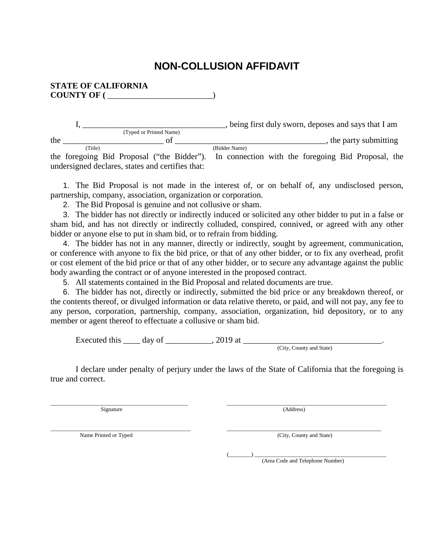# **NON-COLLUSION AFFIDAVIT**

#### **STATE OF CALIFORNIA COUNTY OF (** \_\_\_\_\_\_\_\_\_\_\_\_\_\_\_\_\_\_\_\_\_\_\_\_\_)

I, \_\_\_\_\_\_\_\_\_\_\_\_\_\_\_\_\_\_\_\_\_\_\_\_\_\_\_\_\_\_\_\_\_\_, being first duly sworn, deposes and says that I am (Typed or Printed Name) the CHTyped or Printed Name) of CHTM (Bidder Name) (Bidder Name) and CHTM (Bidder Name) control (Bidder Name) control (Bidder Name) control (Bidder Name) control (Bidder Name) control (Bidder Name) control (Bidder Name) co the foregoing Bid Proposal ("the Bidder"). In connection with the foregoing Bid Proposal, the undersigned declares, states and certifies that:

1. The Bid Proposal is not made in the interest of, or on behalf of, any undisclosed person, partnership, company, association, organization or corporation.

2. The Bid Proposal is genuine and not collusive or sham.

3. The bidder has not directly or indirectly induced or solicited any other bidder to put in a false or sham bid, and has not directly or indirectly colluded, conspired, connived, or agreed with any other bidder or anyone else to put in sham bid, or to refrain from bidding.

4. The bidder has not in any manner, directly or indirectly, sought by agreement, communication, or conference with anyone to fix the bid price, or that of any other bidder, or to fix any overhead, profit or cost element of the bid price or that of any other bidder, or to secure any advantage against the public body awarding the contract or of anyone interested in the proposed contract.

5. All statements contained in the Bid Proposal and related documents are true.

6. The bidder has not, directly or indirectly, submitted the bid price or any breakdown thereof, or the contents thereof, or divulged information or data relative thereto, or paid, and will not pay, any fee to any person, corporation, partnership, company, association, organization, bid depository, or to any member or agent thereof to effectuate a collusive or sham bid.

Executed this \_\_\_\_ day of \_\_\_\_\_\_\_\_\_\_\_, 2019 at \_\_\_\_\_\_\_\_\_\_\_\_\_\_\_\_\_\_\_\_\_\_\_\_\_\_\_\_\_\_\_\_\_.

(City, County and State)

I declare under penalty of perjury under the laws of the State of California that the foregoing is true and correct.

\_\_\_\_\_\_\_\_\_\_\_\_\_\_\_\_\_\_\_\_\_\_\_\_\_\_\_\_\_\_\_\_\_\_\_\_\_\_\_\_\_\_\_\_\_\_\_\_\_ \_\_\_\_\_\_\_\_\_\_\_\_\_\_\_\_\_\_\_\_\_\_\_\_\_\_\_\_\_\_\_\_\_\_\_\_\_\_\_\_\_\_\_\_\_\_\_\_\_\_\_\_\_\_\_\_\_ Signature (Address)

\_\_\_\_\_\_\_\_\_\_\_\_\_\_\_\_\_\_\_\_\_\_\_\_\_\_\_\_\_\_\_\_\_\_\_\_\_\_\_\_\_\_\_\_\_\_\_\_\_\_ \_\_\_\_\_\_\_\_\_\_\_\_\_\_\_\_\_\_\_\_\_\_\_\_\_\_\_\_\_\_\_\_\_\_\_\_\_\_\_\_\_\_\_\_\_\_\_\_\_\_\_\_\_\_\_

Name Printed or Typed (City, County and State)

 $(\_\_\_\_\_)$   $\_\_\_\_\_$ (Area Code and Telephone Number)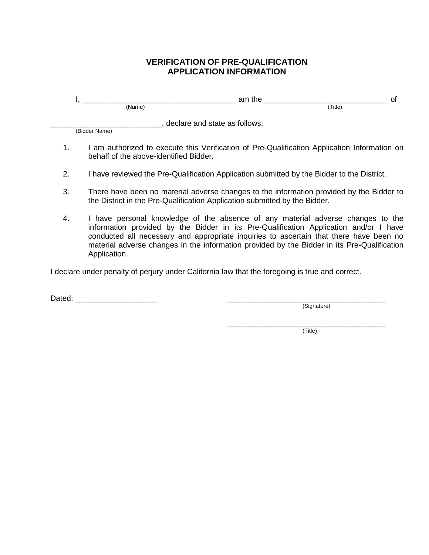#### **VERIFICATION OF PRE-QUALIFICATION APPLICATION INFORMATION**

|  | тще |  |
|--|-----|--|

\_\_\_\_\_\_\_\_\_\_\_\_\_\_\_\_\_\_\_\_\_\_\_\_\_\_, declare and state as follows:

(Bidder Name)

- 1. I am authorized to execute this Verification of Pre-Qualification Application Information on behalf of the above-identified Bidder.
- 2. I have reviewed the Pre-Qualification Application submitted by the Bidder to the District.
- 3. There have been no material adverse changes to the information provided by the Bidder to the District in the Pre-Qualification Application submitted by the Bidder.
- 4. I have personal knowledge of the absence of any material adverse changes to the information provided by the Bidder in its Pre-Qualification Application and/or I have conducted all necessary and appropriate inquiries to ascertain that there have been no material adverse changes in the information provided by the Bidder in its Pre-Qualification Application.

I declare under penalty of perjury under California law that the foregoing is true and correct.

Dated: \_\_\_\_\_\_\_\_\_\_\_\_\_\_\_\_\_\_\_ \_\_\_\_\_\_\_\_\_\_\_\_\_\_\_\_\_\_\_\_\_\_\_\_\_\_\_\_\_\_\_\_\_\_\_\_\_

(Signature)

\_\_\_\_\_\_\_\_\_\_\_\_\_\_\_\_\_\_\_\_\_\_\_\_\_\_\_\_\_\_\_\_\_\_\_\_\_ (Title)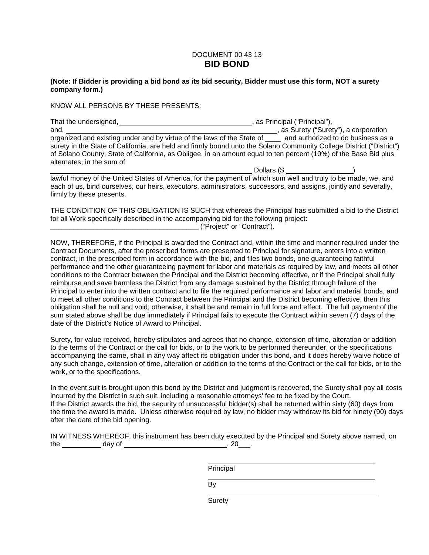#### DOCUMENT 00 43 13 **BID BOND**

**(Note: If Bidder is providing a bid bond as its bid security, Bidder must use this form, NOT a surety company form.)**

KNOW ALL PERSONS BY THESE PRESENTS:

| That the undersigned,     | , as Principal ("Principal"),                                                                                        |
|---------------------------|----------------------------------------------------------------------------------------------------------------------|
| and.                      | as Surety ("Surety"), a corporation                                                                                  |
|                           | organized and existing under and by virtue of the laws of the State of _____ and authorized to do business as a      |
|                           | surety in the State of California, are held and firmly bound unto the Solano Community College District ("District") |
|                           | of Solano County, State of California, as Obligee, in an amount equal to ten percent (10%) of the Base Bid plus      |
| alternates, in the sum of |                                                                                                                      |
|                           | Dollars (\$                                                                                                          |

lawful money of the United States of America, for the payment of which sum well and truly to be made, we, and each of us, bind ourselves, our heirs, executors, administrators, successors, and assigns, jointly and severally, firmly by these presents.

THE CONDITION OF THIS OBLIGATION IS SUCH that whereas the Principal has submitted a bid to the District for all Work specifically described in the accompanying bid for the following project: \_\_\_\_\_\_\_\_\_\_\_\_\_\_\_\_\_\_\_\_\_\_\_\_\_\_\_\_\_\_\_\_\_\_\_\_\_\_ ("Project" or "Contract").

NOW, THEREFORE, if the Principal is awarded the Contract and, within the time and manner required under the Contract Documents, after the prescribed forms are presented to Principal for signature, enters into a written contract, in the prescribed form in accordance with the bid, and files two bonds, one guaranteeing faithful performance and the other guaranteeing payment for labor and materials as required by law, and meets all other conditions to the Contract between the Principal and the District becoming effective, or if the Principal shall fully reimburse and save harmless the District from any damage sustained by the District through failure of the Principal to enter into the written contract and to file the required performance and labor and material bonds, and to meet all other conditions to the Contract between the Principal and the District becoming effective, then this obligation shall be null and void; otherwise, it shall be and remain in full force and effect. The full payment of the sum stated above shall be due immediately if Principal fails to execute the Contract within seven (7) days of the date of the District's Notice of Award to Principal.

Surety, for value received, hereby stipulates and agrees that no change, extension of time, alteration or addition to the terms of the Contract or the call for bids, or to the work to be performed thereunder, or the specifications accompanying the same, shall in any way affect its obligation under this bond, and it does hereby waive notice of any such change, extension of time, alteration or addition to the terms of the Contract or the call for bids, or to the work, or to the specifications.

In the event suit is brought upon this bond by the District and judgment is recovered, the Surety shall pay all costs incurred by the District in such suit, including a reasonable attorneys' fee to be fixed by the Court. If the District awards the bid, the security of unsuccessful bidder(s) shall be returned within sixty (60) days from the time the award is made. Unless otherwise required by law, no bidder may withdraw its bid for ninety (90) days after the date of the bid opening.

|     |        | IN WITNESS WHEREOF, this instrument has been duty executed by the Principal and Surety above named, on |
|-----|--------|--------------------------------------------------------------------------------------------------------|
| the | dav of |                                                                                                        |

Principal

**Surety** 

By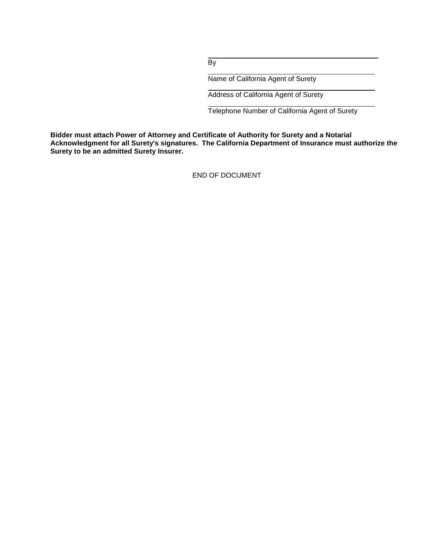By

Name of California Agent of Surety

Address of California Agent of Surety

Telephone Number of California Agent of Surety

**Bidder must attach Power of Attorney and Certificate of Authority for Surety and a Notarial Acknowledgment for all Surety's signatures. The California Department of Insurance must authorize the Surety to be an admitted Surety Insurer.**

END OF DOCUMENT